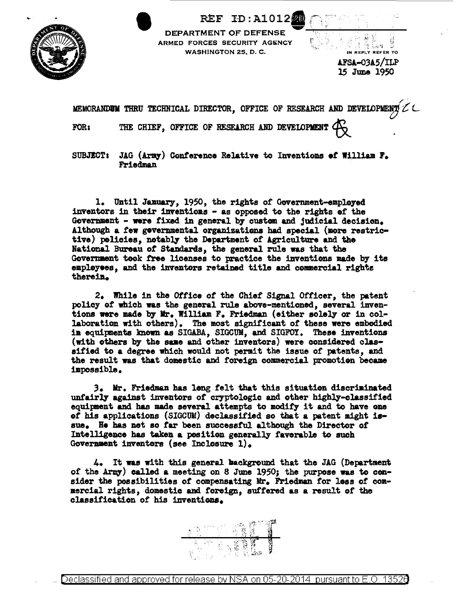

REF ID: A101220 DEPARTMENT OF DEFENSE ARMED FORCES SECURITY AGENCY **WASHINGTON 25, D. C.** 

IN REPLY REFER TO AFSA-03A5/ILP 15 June 1950

a ban

議

MEMORANDUM THRU TECHNICAL DIRECTOR, OFFICE OF RESEARCH AND DEVELOPMENT  $\mathcal{Z}$  C THE CHIEF, OFFICE OF RESEARCH AND DEVELOPMENT  $\phi$ FOR:

SUBJECT: JAG (Army) Conference Relative to Inventions of William F. Friedman

1. Until January, 1950, the rights of Government-employed inventors in their inventions - as opposed to the rights of the Government - were fixed in general by custom and judicial decision. Although a few gevernmental organizations had special (more restrictive) policies, notably the Department of Agriculture and the National Bureau of Standards, the general rule was that the Government took free licenses to practice the inventions made by its employees, and the inventors retained title and commercial rights therein.

2. While in the Office of the Chief Signal Officer, the patent policy of which was the general rule above-mentioned, several inventions were made by Mr. William F. Friedman (either solely or in collaboration with others). The most significant of these were embodied in equipments known as SIGABA, SIGCUM, and SIGFOY. These inventions (with others by the same and other inventors) were considered classified to a degree which would not permit the issue of patents, and the result was that domestic and foreign commercial promotion became impossible.

3. Mr. Friedman has leng felt that this situation discriminated unfairly against inventors of cryptologic and other highly-classified equipment and has made several attempts to modify it and to have one of his applications (SIGCUM) declassified so that a patent might issue. He has not so far been successful although the Director of Intelligence has taken a position generally favorable to such Government inventors (see Inclosure  $1$ ).

4. It was with this general background that the JAG (Department of the Army) called a meeting on 8 June 1950; the purpose was to consider the possibilities of compensating Mr. Friedman for loss of commercial rights, domestic and foreign, suffered as a result of the classification of his inventions.

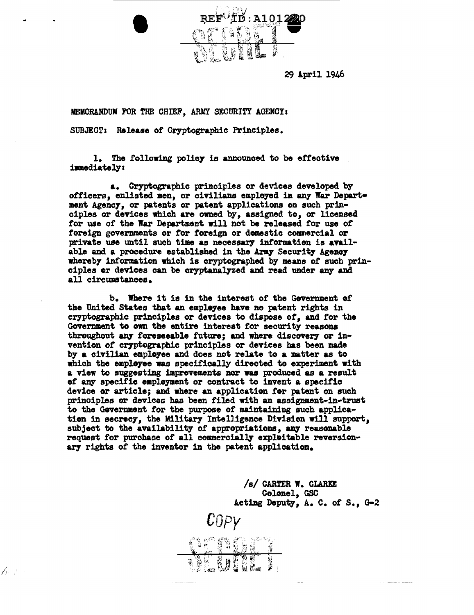

29 April 1946

MEMORANDUM FOR THE CHIEF, ARMY SECURITY AGENCY:

SUBJECT: Release of Cryptographic Principles.

1. The following policy is announced to be effective immediately:

a. Cryptographic principles or devices developed by otticers, enlisted aen, or civilians employed in any War Department Agency, or patents or patent applications on such principles or devices which are owned by, assigned to, or licensed for use of the War Department will not be released for use of foreign governments or for foreign or domestic commercial or private use until such time as necessary information is available and a procedure established in the Army Security Agency whereby information which is cryptographed by means of such prin-<br>ciples or devices can be cryptanalyzed and read under any and all circumstances.

b. Where it is in the interest of the Government of tbe United States that an empleyee have no patent rights in cryptographic principles or devices to dispose of, and for the Government to own the entire interest for security reasons throughout any foreseeable future; and where discovery or invention or ceyptographic principles or devices has been made by a civilian employee and does not relate to a matter as to which the employee was specifically directed to experiment with a view to suggesting improvements nor was produced as a result of any specific empleyment or contract to invent a specific device or article; and where an application for patent on such principles or devices has been f'iled with an assignment-in-trust to the Government for the purpose of maintaining such application in secrecy, the Military Intelligence Division will support, subject to the availability of appropriations, any reasonable request for purchase of all commercially exploitable reversionary rights of the inventor in the patent application.

*Copy* 

 $\bigtriangleup$  , ,

/s/ CARTER W. CLARKE Celonel, GSC Acting Deputy, A. C. of S., G-2